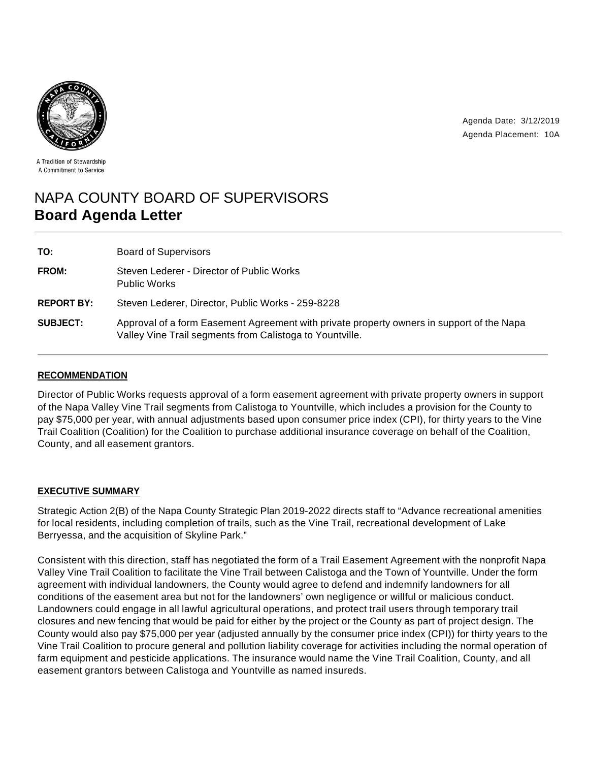



A Tradition of Stewardship A Commitment to Service

# NAPA COUNTY BOARD OF SUPERVISORS **Board Agenda Letter**

| TO:               | <b>Board of Supervisors</b>                                                                                                                           |
|-------------------|-------------------------------------------------------------------------------------------------------------------------------------------------------|
| <b>FROM:</b>      | Steven Lederer - Director of Public Works<br><b>Public Works</b>                                                                                      |
| <b>REPORT BY:</b> | Steven Lederer, Director, Public Works - 259-8228                                                                                                     |
| <b>SUBJECT:</b>   | Approval of a form Easement Agreement with private property owners in support of the Napa<br>Valley Vine Trail segments from Calistoga to Yountville. |

# **RECOMMENDATION**

Director of Public Works requests approval of a form easement agreement with private property owners in support of the Napa Valley Vine Trail segments from Calistoga to Yountville, which includes a provision for the County to pay \$75,000 per year, with annual adjustments based upon consumer price index (CPI), for thirty years to the Vine Trail Coalition (Coalition) for the Coalition to purchase additional insurance coverage on behalf of the Coalition, County, and all easement grantors.

## **EXECUTIVE SUMMARY**

Strategic Action 2(B) of the Napa County Strategic Plan 2019-2022 directs staff to "Advance recreational amenities for local residents, including completion of trails, such as the Vine Trail, recreational development of Lake Berryessa, and the acquisition of Skyline Park."

Consistent with this direction, staff has negotiated the form of a Trail Easement Agreement with the nonprofit Napa Valley Vine Trail Coalition to facilitate the Vine Trail between Calistoga and the Town of Yountville. Under the form agreement with individual landowners, the County would agree to defend and indemnify landowners for all conditions of the easement area but not for the landowners' own negligence or willful or malicious conduct. Landowners could engage in all lawful agricultural operations, and protect trail users through temporary trail closures and new fencing that would be paid for either by the project or the County as part of project design. The County would also pay \$75,000 per year (adjusted annually by the consumer price index (CPI)) for thirty years to the Vine Trail Coalition to procure general and pollution liability coverage for activities including the normal operation of farm equipment and pesticide applications. The insurance would name the Vine Trail Coalition, County, and all easement grantors between Calistoga and Yountville as named insureds.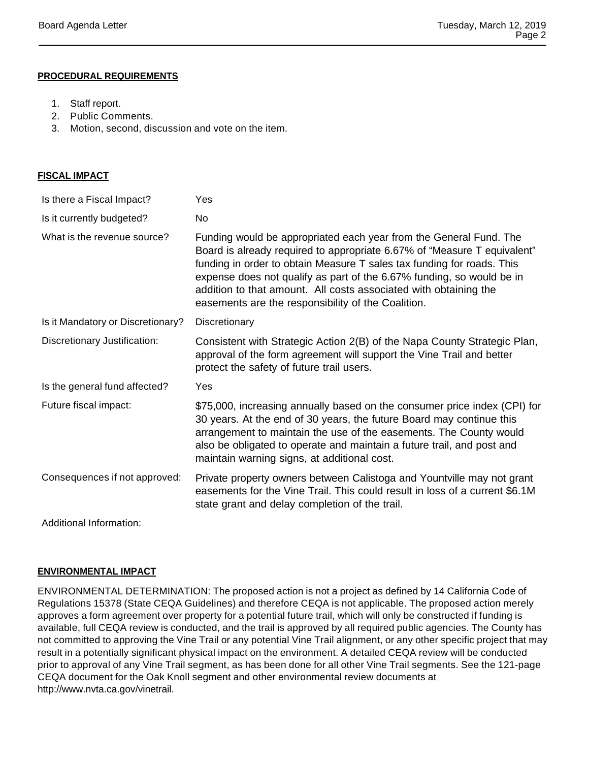## **PROCEDURAL REQUIREMENTS**

- 1. Staff report.
- 2. Public Comments.
- 3. Motion, second, discussion and vote on the item.

| <b>FISCAL IMPACT</b>              |                                                                                                                                                                                                                                                                                                                                                                                                                             |  |  |
|-----------------------------------|-----------------------------------------------------------------------------------------------------------------------------------------------------------------------------------------------------------------------------------------------------------------------------------------------------------------------------------------------------------------------------------------------------------------------------|--|--|
| Is there a Fiscal Impact?         | Yes                                                                                                                                                                                                                                                                                                                                                                                                                         |  |  |
| Is it currently budgeted?         | No                                                                                                                                                                                                                                                                                                                                                                                                                          |  |  |
| What is the revenue source?       | Funding would be appropriated each year from the General Fund. The<br>Board is already required to appropriate 6.67% of "Measure T equivalent"<br>funding in order to obtain Measure T sales tax funding for roads. This<br>expense does not qualify as part of the 6.67% funding, so would be in<br>addition to that amount. All costs associated with obtaining the<br>easements are the responsibility of the Coalition. |  |  |
| Is it Mandatory or Discretionary? | Discretionary                                                                                                                                                                                                                                                                                                                                                                                                               |  |  |
| Discretionary Justification:      | Consistent with Strategic Action 2(B) of the Napa County Strategic Plan,<br>approval of the form agreement will support the Vine Trail and better<br>protect the safety of future trail users.                                                                                                                                                                                                                              |  |  |
| Is the general fund affected?     | Yes                                                                                                                                                                                                                                                                                                                                                                                                                         |  |  |
| Future fiscal impact:             | \$75,000, increasing annually based on the consumer price index (CPI) for<br>30 years. At the end of 30 years, the future Board may continue this<br>arrangement to maintain the use of the easements. The County would<br>also be obligated to operate and maintain a future trail, and post and<br>maintain warning signs, at additional cost.                                                                            |  |  |
| Consequences if not approved:     | Private property owners between Calistoga and Yountville may not grant<br>easements for the Vine Trail. This could result in loss of a current \$6.1M<br>state grant and delay completion of the trail.                                                                                                                                                                                                                     |  |  |
| Additional Information:           |                                                                                                                                                                                                                                                                                                                                                                                                                             |  |  |

#### **ENVIRONMENTAL IMPACT**

ENVIRONMENTAL DETERMINATION: The proposed action is not a project as defined by 14 California Code of Regulations 15378 (State CEQA Guidelines) and therefore CEQA is not applicable. The proposed action merely approves a form agreement over property for a potential future trail, which will only be constructed if funding is available, full CEQA review is conducted, and the trail is approved by all required public agencies. The County has not committed to approving the Vine Trail or any potential Vine Trail alignment, or any other specific project that may result in a potentially significant physical impact on the environment. A detailed CEQA review will be conducted prior to approval of any Vine Trail segment, as has been done for all other Vine Trail segments. See the 121-page CEQA document for the Oak Knoll segment and other environmental review documents at http://www.nvta.ca.gov/vinetrail.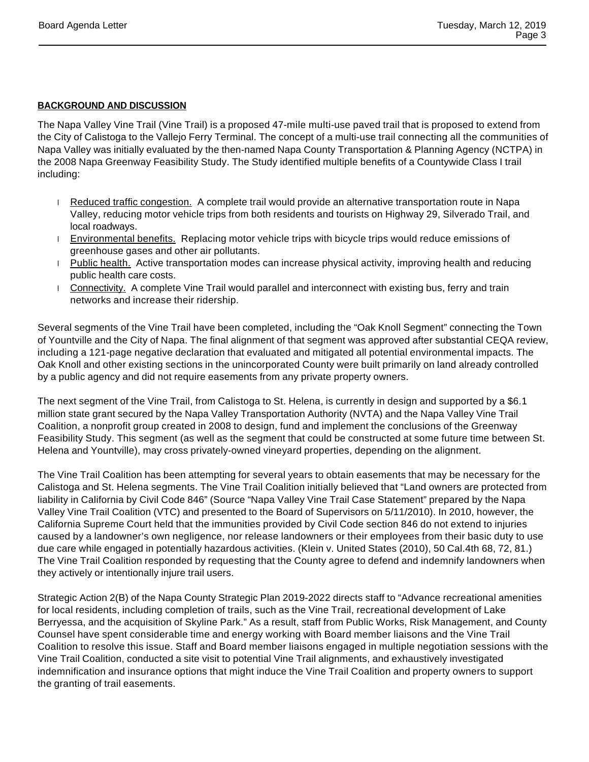# **BACKGROUND AND DISCUSSION**

The Napa Valley Vine Trail (Vine Trail) is a proposed 47-mile multi-use paved trail that is proposed to extend from the City of Calistoga to the Vallejo Ferry Terminal. The concept of a multi-use trail connecting all the communities of Napa Valley was initially evaluated by the then-named Napa County Transportation & Planning Agency (NCTPA) in the 2008 Napa Greenway Feasibility Study. The Study identified multiple benefits of a Countywide Class I trail including:

- Reduced traffic congestion. A complete trail would provide an alternative transportation route in Napa Valley, reducing motor vehicle trips from both residents and tourists on Highway 29, Silverado Trail, and local roadways.
- **Environmental benefits. Replacing motor vehicle trips with bicycle trips would reduce emissions of** greenhouse gases and other air pollutants.
- Public health. Active transportation modes can increase physical activity, improving health and reducing public health care costs.
- Connectivity. A complete Vine Trail would parallel and interconnect with existing bus, ferry and train networks and increase their ridership.

Several segments of the Vine Trail have been completed, including the "Oak Knoll Segment" connecting the Town of Yountville and the City of Napa. The final alignment of that segment was approved after substantial CEQA review, including a 121-page negative declaration that evaluated and mitigated all potential environmental impacts. The Oak Knoll and other existing sections in the unincorporated County were built primarily on land already controlled by a public agency and did not require easements from any private property owners.

The next segment of the Vine Trail, from Calistoga to St. Helena, is currently in design and supported by a \$6.1 million state grant secured by the Napa Valley Transportation Authority (NVTA) and the Napa Valley Vine Trail Coalition, a nonprofit group created in 2008 to design, fund and implement the conclusions of the Greenway Feasibility Study. This segment (as well as the segment that could be constructed at some future time between St. Helena and Yountville), may cross privately-owned vineyard properties, depending on the alignment.

The Vine Trail Coalition has been attempting for several years to obtain easements that may be necessary for the Calistoga and St. Helena segments. The Vine Trail Coalition initially believed that "Land owners are protected from liability in California by Civil Code 846" (Source "Napa Valley Vine Trail Case Statement" prepared by the Napa Valley Vine Trail Coalition (VTC) and presented to the Board of Supervisors on 5/11/2010). In 2010, however, the California Supreme Court held that the immunities provided by Civil Code section 846 do not extend to injuries caused by a landowner's own negligence, nor release landowners or their employees from their basic duty to use due care while engaged in potentially hazardous activities. (Klein v. United States (2010), 50 Cal.4th 68, 72, 81.) The Vine Trail Coalition responded by requesting that the County agree to defend and indemnify landowners when they actively or intentionally injure trail users.

Strategic Action 2(B) of the Napa County Strategic Plan 2019-2022 directs staff to "Advance recreational amenities for local residents, including completion of trails, such as the Vine Trail, recreational development of Lake Berryessa, and the acquisition of Skyline Park." As a result, staff from Public Works, Risk Management, and County Counsel have spent considerable time and energy working with Board member liaisons and the Vine Trail Coalition to resolve this issue. Staff and Board member liaisons engaged in multiple negotiation sessions with the Vine Trail Coalition, conducted a site visit to potential Vine Trail alignments, and exhaustively investigated indemnification and insurance options that might induce the Vine Trail Coalition and property owners to support the granting of trail easements.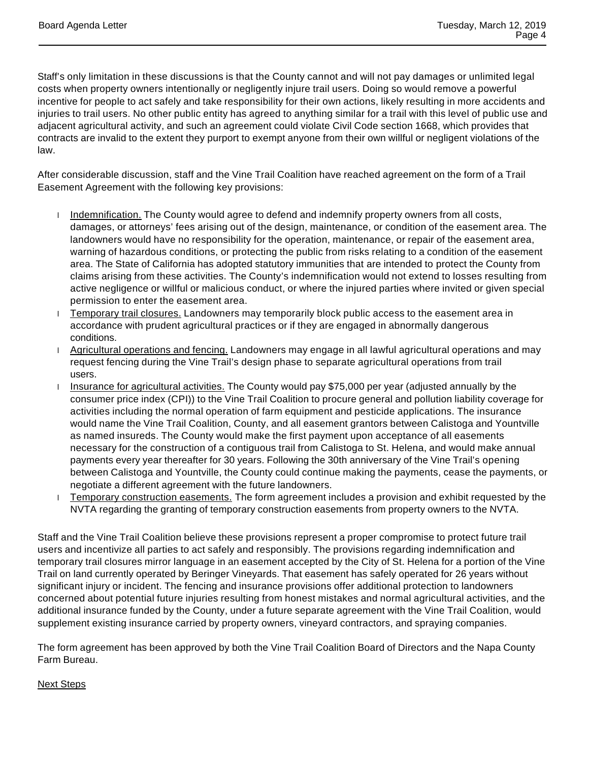Staff's only limitation in these discussions is that the County cannot and will not pay damages or unlimited legal costs when property owners intentionally or negligently injure trail users. Doing so would remove a powerful incentive for people to act safely and take responsibility for their own actions, likely resulting in more accidents and injuries to trail users. No other public entity has agreed to anything similar for a trail with this level of public use and adjacent agricultural activity, and such an agreement could violate Civil Code section 1668, which provides that contracts are invalid to the extent they purport to exempt anyone from their own willful or negligent violations of the law.

After considerable discussion, staff and the Vine Trail Coalition have reached agreement on the form of a Trail Easement Agreement with the following key provisions:

- Indemnification. The County would agree to defend and indemnify property owners from all costs, damages, or attorneys' fees arising out of the design, maintenance, or condition of the easement area. The landowners would have no responsibility for the operation, maintenance, or repair of the easement area, warning of hazardous conditions, or protecting the public from risks relating to a condition of the easement area. The State of California has adopted statutory immunities that are intended to protect the County from claims arising from these activities. The County's indemnification would not extend to losses resulting from active negligence or willful or malicious conduct, or where the injured parties where invited or given special permission to enter the easement area.
- **Temporary trail closures.** Landowners may temporarily block public access to the easement area in accordance with prudent agricultural practices or if they are engaged in abnormally dangerous conditions.
- Agricultural operations and fencing. Landowners may engage in all lawful agricultural operations and may request fencing during the Vine Trail's design phase to separate agricultural operations from trail users.
- Insurance for agricultural activities. The County would pay \$75,000 per year (adjusted annually by the consumer price index (CPI)) to the Vine Trail Coalition to procure general and pollution liability coverage for activities including the normal operation of farm equipment and pesticide applications. The insurance would name the Vine Trail Coalition, County, and all easement grantors between Calistoga and Yountville as named insureds. The County would make the first payment upon acceptance of all easements necessary for the construction of a contiguous trail from Calistoga to St. Helena, and would make annual payments every year thereafter for 30 years. Following the 30th anniversary of the Vine Trail's opening between Calistoga and Yountville, the County could continue making the payments, cease the payments, or negotiate a different agreement with the future landowners.
- **Temporary construction easements.** The form agreement includes a provision and exhibit requested by the NVTA regarding the granting of temporary construction easements from property owners to the NVTA.

Staff and the Vine Trail Coalition believe these provisions represent a proper compromise to protect future trail users and incentivize all parties to act safely and responsibly. The provisions regarding indemnification and temporary trail closures mirror language in an easement accepted by the City of St. Helena for a portion of the Vine Trail on land currently operated by Beringer Vineyards. That easement has safely operated for 26 years without significant injury or incident. The fencing and insurance provisions offer additional protection to landowners concerned about potential future injuries resulting from honest mistakes and normal agricultural activities, and the additional insurance funded by the County, under a future separate agreement with the Vine Trail Coalition, would supplement existing insurance carried by property owners, vineyard contractors, and spraying companies.

The form agreement has been approved by both the Vine Trail Coalition Board of Directors and the Napa County Farm Bureau.

## Next Steps